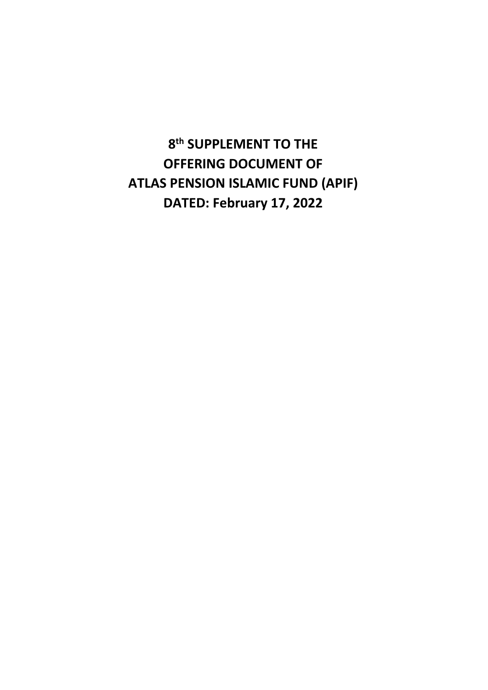**8 th SUPPLEMENT TO THE OFFERING DOCUMENT OF ATLAS PENSION ISLAMIC FUND (APIF) DATED: February 17, 2022**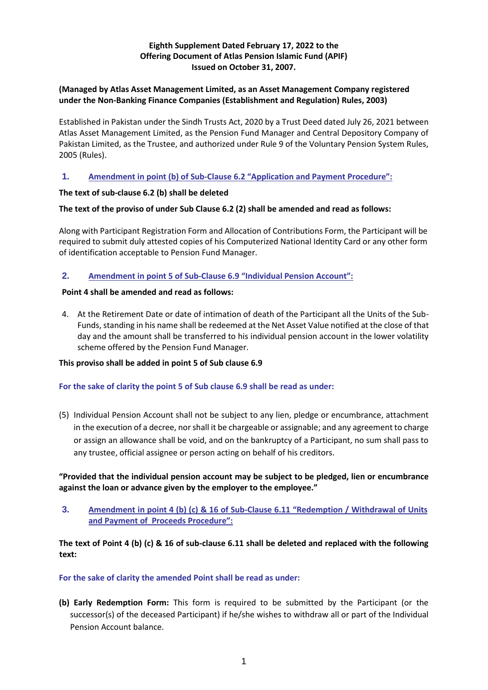# **Eighth Supplement Dated February 17, 2022 to the Offering Document of Atlas Pension Islamic Fund (APIF) Issued on October 31, 2007.**

# **(Managed by Atlas Asset Management Limited, as an Asset Management Company registered under the Non-Banking Finance Companies (Establishment and Regulation) Rules, 2003)**

Established in Pakistan under the Sindh Trusts Act, 2020 by a Trust Deed dated July 26, 2021 between Atlas Asset Management Limited, as the Pension Fund Manager and Central Depository Company of Pakistan Limited, as the Trustee, and authorized under Rule 9 of the Voluntary Pension System Rules, 2005 (Rules).

# **1. Amendment in point (b) of Sub-Clause 6.2 "Application and Payment Procedure":**

### **The text of sub-clause 6.2 (b) shall be deleted**

### **The text of the proviso of under Sub Clause 6.2 (2) shall be amended and read as follows:**

Along with Participant Registration Form and Allocation of Contributions Form, the Participant will be required to submit duly attested copies of his Computerized National Identity Card or any other form of identification acceptable to Pension Fund Manager.

### **2. Amendment in point 5 of Sub-Clause 6.9 "Individual Pension Account":**

### **Point 4 shall be amended and read as follows:**

4. At the Retirement Date or date of intimation of death of the Participant all the Units of the Sub-Funds, standing in his name shall be redeemed at the Net Asset Value notified at the close of that day and the amount shall be transferred to his individual pension account in the lower volatility scheme offered by the Pension Fund Manager.

### **This proviso shall be added in point 5 of Sub clause 6.9**

### **For the sake of clarity the point 5 of Sub clause 6.9 shall be read as under:**

(5) Individual Pension Account shall not be subject to any lien, pledge or encumbrance, attachment in the execution of a decree, nor shall it be chargeable or assignable; and any agreement to charge or assign an allowance shall be void, and on the bankruptcy of a Participant, no sum shall pass to any trustee, official assignee or person acting on behalf of his creditors.

# **"Provided that the individual pension account may be subject to be pledged, lien or encumbrance against the loan or advance given by the employer to the employee."**

**3. Amendment in point 4 (b) (c) & 16 of Sub-Clause 6.11 "Redemption / Withdrawal of Units and Payment of Proceeds Procedure":**

# **The text of Point 4 (b) (c) & 16 of sub-clause 6.11 shall be deleted and replaced with the following text:**

### **For the sake of clarity the amended Point shall be read as under:**

**(b) Early Redemption Form:** This form is required to be submitted by the Participant (or the successor(s) of the deceased Participant) if he/she wishes to withdraw all or part of the Individual Pension Account balance.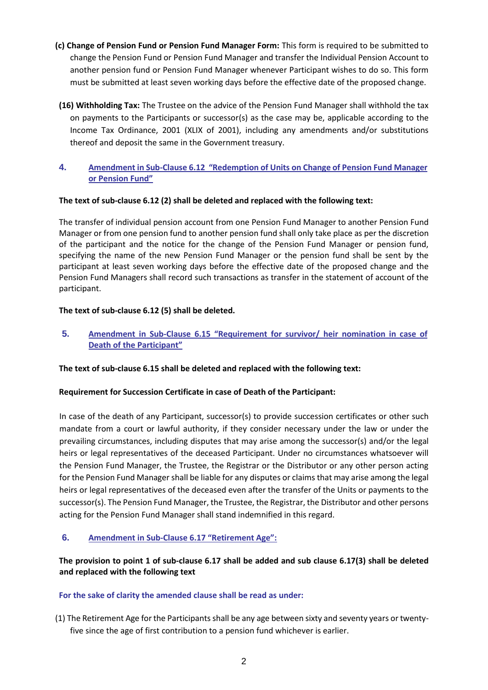- **(c) Change of Pension Fund or Pension Fund Manager Form:** This form is required to be submitted to change the Pension Fund or Pension Fund Manager and transfer the Individual Pension Account to another pension fund or Pension Fund Manager whenever Participant wishes to do so. This form must be submitted at least seven working days before the effective date of the proposed change.
- **(16) Withholding Tax:** The Trustee on the advice of the Pension Fund Manager shall withhold the tax on payments to the Participants or successor(s) as the case may be, applicable according to the Income Tax Ordinance, 2001 (XLIX of 2001), including any amendments and/or substitutions thereof and deposit the same in the Government treasury.
- **4. Amendment in Sub-Clause 6.12 "Redemption of Units on Change of Pension Fund Manager or Pension Fund"**

# **The text of sub-clause 6.12 (2) shall be deleted and replaced with the following text:**

The transfer of individual pension account from one Pension Fund Manager to another Pension Fund Manager or from one pension fund to another pension fund shall only take place as per the discretion of the participant and the notice for the change of the Pension Fund Manager or pension fund, specifying the name of the new Pension Fund Manager or the pension fund shall be sent by the participant at least seven working days before the effective date of the proposed change and the Pension Fund Managers shall record such transactions as transfer in the statement of account of the participant.

### **The text of sub-clause 6.12 (5) shall be deleted.**

**5. Amendment in Sub-Clause 6.15 "Requirement for survivor/ heir nomination in case of Death of the Participant"**

### **The text of sub-clause 6.15 shall be deleted and replaced with the following text:**

### **Requirement for Succession Certificate in case of Death of the Participant:**

In case of the death of any Participant, successor(s) to provide succession certificates or other such mandate from a court or lawful authority, if they consider necessary under the law or under the prevailing circumstances, including disputes that may arise among the successor(s) and/or the legal heirs or legal representatives of the deceased Participant. Under no circumstances whatsoever will the Pension Fund Manager, the Trustee, the Registrar or the Distributor or any other person acting for the Pension Fund Manager shall be liable for any disputes or claims that may arise among the legal heirs or legal representatives of the deceased even after the transfer of the Units or payments to the successor(s). The Pension Fund Manager, the Trustee, the Registrar, the Distributor and other persons acting for the Pension Fund Manager shall stand indemnified in this regard.

# **6. Amendment in Sub-Clause 6.17 "Retirement Age":**

# **The provision to point 1 of sub-clause 6.17 shall be added and sub clause 6.17(3) shall be deleted and replaced with the following text**

### **For the sake of clarity the amended clause shall be read as under:**

(1) The Retirement Age for the Participants shall be any age between sixty and seventy years or twentyfive since the age of first contribution to a pension fund whichever is earlier.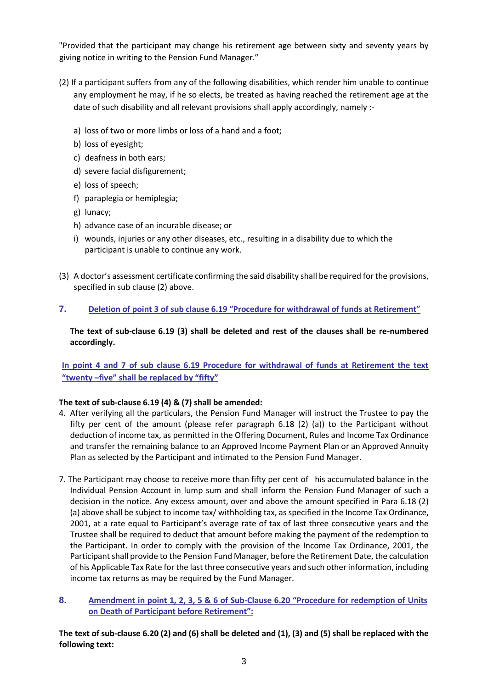"Provided that the participant may change his retirement age between sixty and seventy years by giving notice in writing to the Pension Fund Manager."

- (2) If a participant suffers from any of the following disabilities, which render him unable to continue any employment he may, if he so elects, be treated as having reached the retirement age at the date of such disability and all relevant provisions shall apply accordingly, namely :
	- a) loss of two or more limbs or loss of a hand and a foot;
	- b) loss of eyesight;
	- c) deafness in both ears;
	- d) severe facial disfigurement;
	- e) loss of speech;
	- f) paraplegia or hemiplegia;
	- g) lunacy;
	- h) advance case of an incurable disease; or
	- i) wounds, injuries or any other diseases, etc., resulting in a disability due to which the participant is unable to continue any work.
- (3) A doctor's assessment certificate confirming the said disability shall be required for the provisions, specified in sub clause (2) above.

# **7. Deletion of point 3 of sub clause 6.19 "Procedure for withdrawal of funds at Retirement"**

**The text of sub-clause 6.19 (3) shall be deleted and rest of the clauses shall be re-numbered accordingly.**

**In point 4 and 7 of sub clause 6.19 Procedure for withdrawal of funds at Retirement the text "twenty –five" shall be replaced by "fifty"** 

# **The text of sub-clause 6.19 (4) & (7) shall be amended:**

- 4. After verifying all the particulars, the Pension Fund Manager will instruct the Trustee to pay the fifty per cent of the amount (please refer paragraph 6.18 (2) (a)) to the Participant without deduction of income tax, as permitted in the Offering Document, Rules and Income Tax Ordinance and transfer the remaining balance to an Approved Income Payment Plan or an Approved Annuity Plan as selected by the Participant and intimated to the Pension Fund Manager.
- 7. The Participant may choose to receive more than fifty per cent of his accumulated balance in the Individual Pension Account in lump sum and shall inform the Pension Fund Manager of such a decision in the notice. Any excess amount, over and above the amount specified in Para 6.18 (2) (a) above shall be subject to income tax/ withholding tax, as specified in the Income Tax Ordinance, 2001, at a rate equal to Participant's average rate of tax of last three consecutive years and the Trustee shall be required to deduct that amount before making the payment of the redemption to the Participant. In order to comply with the provision of the Income Tax Ordinance, 2001, the Participant shall provide to the Pension Fund Manager, before the Retirement Date, the calculation of his Applicable Tax Rate for the last three consecutive years and such other information, including income tax returns as may be required by the Fund Manager.
- **8. Amendment in point 1, 2, 3, 5 & 6 of Sub-Clause 6.20 "Procedure for redemption of Units on Death of Participant before Retirement":**

**The text of sub-clause 6.20 (2) and (6) shall be deleted and (1), (3) and (5) shall be replaced with the following text:**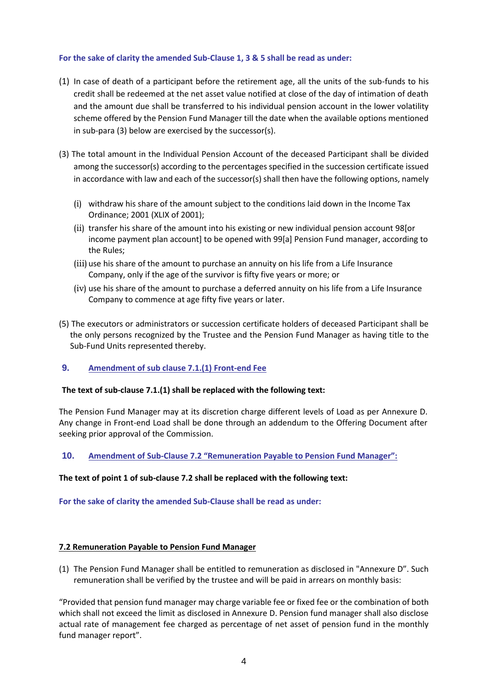### **For the sake of clarity the amended Sub-Clause 1, 3 & 5 shall be read as under:**

- (1) In case of death of a participant before the retirement age, all the units of the sub-funds to his credit shall be redeemed at the net asset value notified at close of the day of intimation of death and the amount due shall be transferred to his individual pension account in the lower volatility scheme offered by the Pension Fund Manager till the date when the available options mentioned in sub-para (3) below are exercised by the successor(s).
- (3) The total amount in the Individual Pension Account of the deceased Participant shall be divided among the successor(s) according to the percentages specified in the succession certificate issued in accordance with law and each of the successor(s) shall then have the following options, namely
	- (i) withdraw his share of the amount subject to the conditions laid down in the Income Tax Ordinance; 2001 (XLIX of 2001);
	- (ii) transfer his share of the amount into his existing or new individual pension account 98[or income payment plan account] to be opened with 99[a] Pension Fund manager, according to the Rules;
	- (iii) use his share of the amount to purchase an annuity on his life from a Life Insurance Company, only if the age of the survivor is fifty five years or more; or
	- (iv) use his share of the amount to purchase a deferred annuity on his life from a Life Insurance Company to commence at age fifty five years or later.
- (5) The executors or administrators or succession certificate holders of deceased Participant shall be the only persons recognized by the Trustee and the Pension Fund Manager as having title to the Sub-Fund Units represented thereby.

### **9. Amendment of sub clause 7.1.(1) Front-end Fee**

### **The text of sub-clause 7.1.(1) shall be replaced with the following text:**

The Pension Fund Manager may at its discretion charge different levels of Load as per Annexure D. Any change in Front-end Load shall be done through an addendum to the Offering Document after seeking prior approval of the Commission.

### **10. Amendment of Sub-Clause 7.2 "Remuneration Payable to Pension Fund Manager":**

### **The text of point 1 of sub-clause 7.2 shall be replaced with the following text:**

**For the sake of clarity the amended Sub-Clause shall be read as under:**

### **7.2 Remuneration Payable to Pension Fund Manager**

(1) The Pension Fund Manager shall be entitled to remuneration as disclosed in "Annexure D". Such remuneration shall be verified by the trustee and will be paid in arrears on monthly basis:

"Provided that pension fund manager may charge variable fee or fixed fee or the combination of both which shall not exceed the limit as disclosed in Annexure D. Pension fund manager shall also disclose actual rate of management fee charged as percentage of net asset of pension fund in the monthly fund manager report".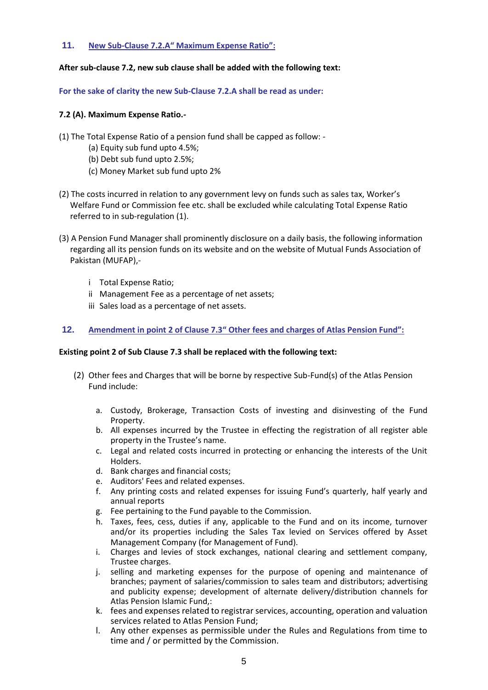### **11. New Sub-Clause 7.2.A" Maximum Expense Ratio":**

### **After sub-clause 7.2, new sub clause shall be added with the following text:**

**For the sake of clarity the new Sub-Clause 7.2.A shall be read as under:**

### **7.2 (A). Maximum Expense Ratio.-**

- (1) The Total Expense Ratio of a pension fund shall be capped as follow:
	- (a) Equity sub fund upto 4.5%;
	- (b) Debt sub fund upto 2.5%;
	- (c) Money Market sub fund upto 2%
- (2) The costs incurred in relation to any government levy on funds such as sales tax, Worker's Welfare Fund or Commission fee etc. shall be excluded while calculating Total Expense Ratio referred to in sub-regulation (1).
- (3) A Pension Fund Manager shall prominently disclosure on a daily basis, the following information regarding all its pension funds on its website and on the website of Mutual Funds Association of Pakistan (MUFAP),
	- i Total Expense Ratio;
	- ii Management Fee as a percentage of net assets;
	- iii Sales load as a percentage of net assets.

### **12. Amendment in point 2 of Clause 7.3" Other fees and charges of Atlas Pension Fund":**

### **Existing point 2 of Sub Clause 7.3 shall be replaced with the following text:**

- (2) Other fees and Charges that will be borne by respective Sub-Fund(s) of the Atlas Pension Fund include:
	- a. Custody, Brokerage, Transaction Costs of investing and disinvesting of the Fund Property.
	- b. All expenses incurred by the Trustee in effecting the registration of all register able property in the Trustee's name.
	- c. Legal and related costs incurred in protecting or enhancing the interests of the Unit Holders.
	- d. Bank charges and financial costs;
	- e. Auditors' Fees and related expenses.
	- f. Any printing costs and related expenses for issuing Fund's quarterly, half yearly and annual reports
	- g. Fee pertaining to the Fund payable to the Commission.
	- h. Taxes, fees, cess, duties if any, applicable to the Fund and on its income, turnover and/or its properties including the Sales Tax levied on Services offered by Asset Management Company (for Management of Fund).
	- i. Charges and levies of stock exchanges, national clearing and settlement company, Trustee charges.
	- j. selling and marketing expenses for the purpose of opening and maintenance of branches; payment of salaries/commission to sales team and distributors; advertising and publicity expense; development of alternate delivery/distribution channels for Atlas Pension Islamic Fund,:
	- k. fees and expenses related to registrar services, accounting, operation and valuation services related to Atlas Pension Fund;
	- l. Any other expenses as permissible under the Rules and Regulations from time to time and / or permitted by the Commission.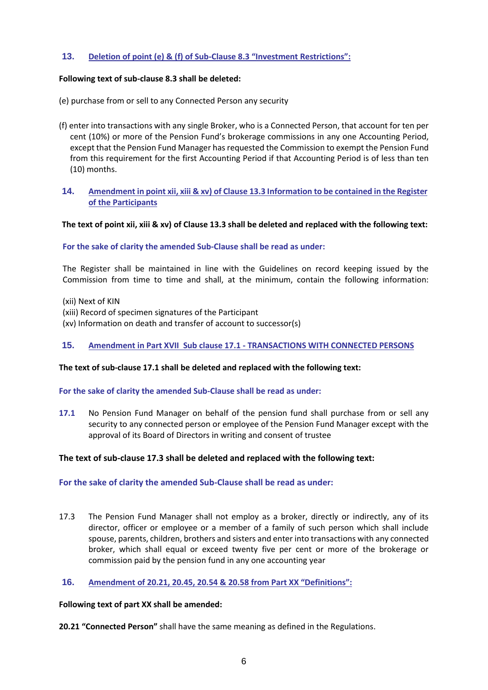### **13. Deletion of point (e) & (f) of Sub-Clause 8.3 "Investment Restrictions":**

### **Following text of sub-clause 8.3 shall be deleted:**

- (e) purchase from or sell to any Connected Person any security
- (f) enter into transactions with any single Broker, who is a Connected Person, that account for ten per cent (10%) or more of the Pension Fund's brokerage commissions in any one Accounting Period, except that the Pension Fund Manager has requested the Commission to exempt the Pension Fund from this requirement for the first Accounting Period if that Accounting Period is of less than ten (10) months.

### **14. Amendment in point xii, xiii & xv) of Clause 13.3 Information to be contained in the Register of the Participants**

#### **The text of point xii, xiii & xv) of Clause 13.3 shall be deleted and replaced with the following text:**

#### **For the sake of clarity the amended Sub-Clause shall be read as under:**

The Register shall be maintained in line with the Guidelines on record keeping issued by the Commission from time to time and shall, at the minimum, contain the following information:

(xii) Next of KIN

- (xiii) Record of specimen signatures of the Participant
- (xv) Information on death and transfer of account to successor(s)

#### **15. Amendment in Part XVII Sub clause 17.1 - TRANSACTIONS WITH CONNECTED PERSONS**

#### **The text of sub-clause 17.1 shall be deleted and replaced with the following text:**

#### **For the sake of clarity the amended Sub-Clause shall be read as under:**

**17.1** No Pension Fund Manager on behalf of the pension fund shall purchase from or sell any security to any connected person or employee of the Pension Fund Manager except with the approval of its Board of Directors in writing and consent of trustee

### **The text of sub-clause 17.3 shall be deleted and replaced with the following text:**

### **For the sake of clarity the amended Sub-Clause shall be read as under:**

17.3 The Pension Fund Manager shall not employ as a broker, directly or indirectly, any of its director, officer or employee or a member of a family of such person which shall include spouse, parents, children, brothers and sisters and enter into transactions with any connected broker, which shall equal or exceed twenty five per cent or more of the brokerage or commission paid by the pension fund in any one accounting year

### **16. Amendment of 20.21, 20.45, 20.54 & 20.58 from Part XX "Definitions":**

#### **Following text of part XX shall be amended:**

**20.21 "Connected Person"** shall have the same meaning as defined in the Regulations.